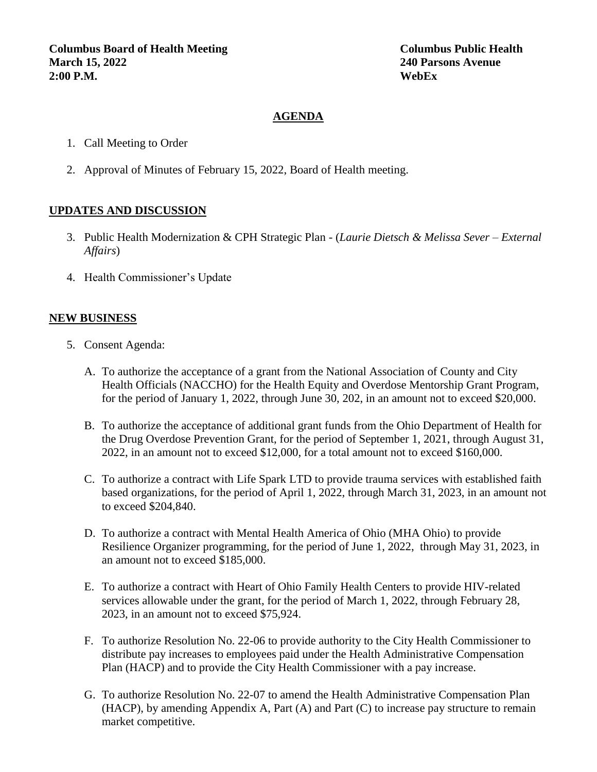#### **AGENDA**

- 1. Call Meeting to Order
- 2. Approval of Minutes of February 15, 2022, Board of Health meeting.

#### **UPDATES AND DISCUSSION**

- 3. Public Health Modernization & CPH Strategic Plan (*Laurie Dietsch & Melissa Sever – External Affairs*)
- 4. Health Commissioner's Update

#### **NEW BUSINESS**

- 5. Consent Agenda:
	- A. To authorize the acceptance of a grant from the National Association of County and City Health Officials (NACCHO) for the Health Equity and Overdose Mentorship Grant Program, for the period of January 1, 2022, through June 30, 202, in an amount not to exceed \$20,000.
	- B. To authorize the acceptance of additional grant funds from the Ohio Department of Health for the Drug Overdose Prevention Grant, for the period of September 1, 2021, through August 31, 2022, in an amount not to exceed \$12,000, for a total amount not to exceed \$160,000.
	- C. To authorize a contract with Life Spark LTD to provide trauma services with established faith based organizations, for the period of April 1, 2022, through March 31, 2023, in an amount not to exceed \$204,840.
	- D. To authorize a contract with Mental Health America of Ohio (MHA Ohio) to provide Resilience Organizer programming, for the period of June 1, 2022, through May 31, 2023, in an amount not to exceed \$185,000.
	- E. To authorize a contract with Heart of Ohio Family Health Centers to provide HIV-related services allowable under the grant, for the period of March 1, 2022, through February 28, 2023, in an amount not to exceed \$75,924.
	- F. To authorize Resolution No. 22-06 to provide authority to the City Health Commissioner to distribute pay increases to employees paid under the Health Administrative Compensation Plan (HACP) and to provide the City Health Commissioner with a pay increase.
	- G. To authorize Resolution No. 22-07 to amend the Health Administrative Compensation Plan (HACP), by amending Appendix A, Part (A) and Part (C) to increase pay structure to remain market competitive.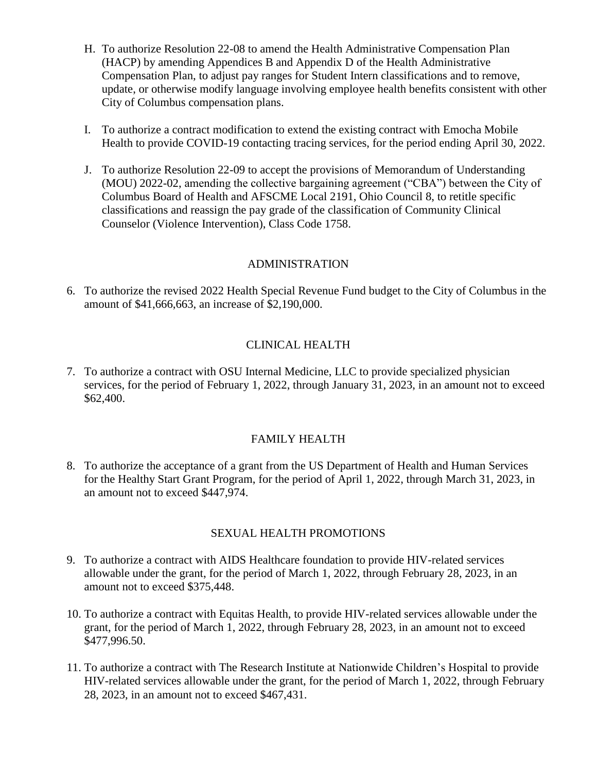- H. To authorize Resolution 22-08 to amend the Health Administrative Compensation Plan (HACP) by amending Appendices B and Appendix D of the Health Administrative Compensation Plan, to adjust pay ranges for Student Intern classifications and to remove, update, or otherwise modify language involving employee health benefits consistent with other City of Columbus compensation plans.
- I. To authorize a contract modification to extend the existing contract with Emocha Mobile Health to provide COVID-19 contacting tracing services, for the period ending April 30, 2022.
- J. To authorize Resolution 22-09 to accept the provisions of Memorandum of Understanding (MOU) 2022-02, amending the collective bargaining agreement ("CBA") between the City of Columbus Board of Health and AFSCME Local 2191, Ohio Council 8, to retitle specific classifications and reassign the pay grade of the classification of Community Clinical Counselor (Violence Intervention), Class Code 1758.

#### ADMINISTRATION

6. To authorize the revised 2022 Health Special Revenue Fund budget to the City of Columbus in the amount of \$41,666,663, an increase of \$2,190,000.

# CLINICAL HEALTH

7. To authorize a contract with OSU Internal Medicine, LLC to provide specialized physician services, for the period of February 1, 2022, through January 31, 2023, in an amount not to exceed \$62,400.

# FAMILY HEALTH

8. To authorize the acceptance of a grant from the US Department of Health and Human Services for the Healthy Start Grant Program, for the period of April 1, 2022, through March 31, 2023, in an amount not to exceed \$447,974.

# SEXUAL HEALTH PROMOTIONS

- 9. To authorize a contract with AIDS Healthcare foundation to provide HIV-related services allowable under the grant, for the period of March 1, 2022, through February 28, 2023, in an amount not to exceed \$375,448.
- 10. To authorize a contract with Equitas Health, to provide HIV-related services allowable under the grant, for the period of March 1, 2022, through February 28, 2023, in an amount not to exceed \$477,996.50.
- 11. To authorize a contract with The Research Institute at Nationwide Children's Hospital to provide HIV-related services allowable under the grant, for the period of March 1, 2022, through February 28, 2023, in an amount not to exceed \$467,431.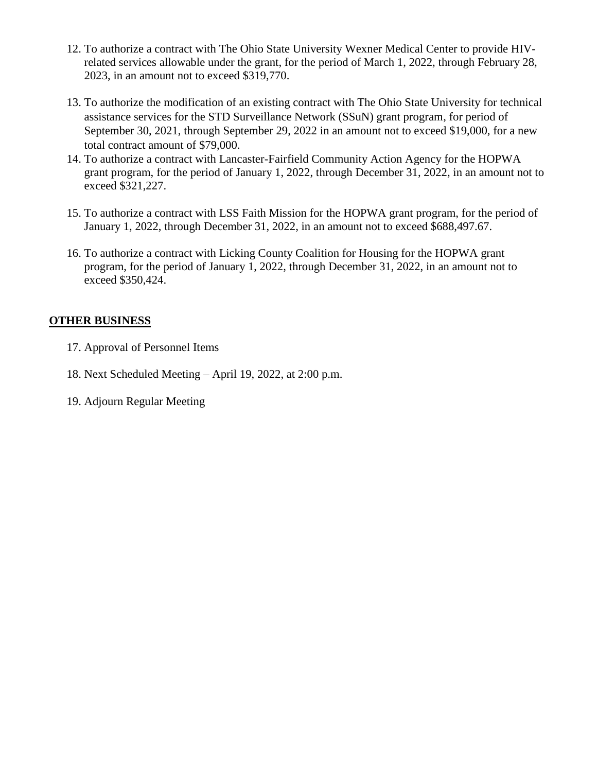- 12. To authorize a contract with The Ohio State University Wexner Medical Center to provide HIVrelated services allowable under the grant, for the period of March 1, 2022, through February 28, 2023, in an amount not to exceed \$319,770.
- 13. To authorize the modification of an existing contract with The Ohio State University for technical assistance services for the STD Surveillance Network (SSuN) grant program, for period of September 30, 2021, through September 29, 2022 in an amount not to exceed \$19,000, for a new total contract amount of \$79,000.
- 14. To authorize a contract with Lancaster-Fairfield Community Action Agency for the HOPWA grant program, for the period of January 1, 2022, through December 31, 2022, in an amount not to exceed \$321,227.
- 15. To authorize a contract with LSS Faith Mission for the HOPWA grant program, for the period of January 1, 2022, through December 31, 2022, in an amount not to exceed \$688,497.67.
- 16. To authorize a contract with Licking County Coalition for Housing for the HOPWA grant program, for the period of January 1, 2022, through December 31, 2022, in an amount not to exceed \$350,424.

# **OTHER BUSINESS**

- 17. Approval of Personnel Items
- 18. Next Scheduled Meeting April 19, 2022, at 2:00 p.m.
- 19. Adjourn Regular Meeting